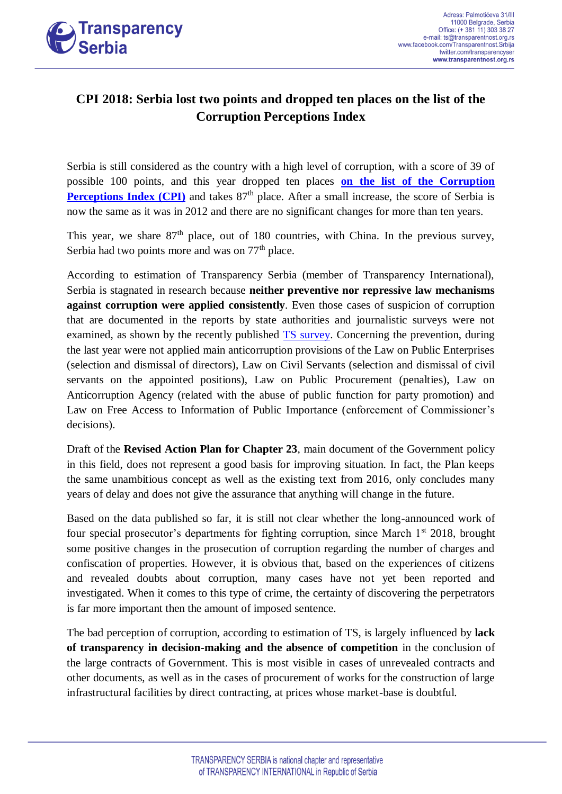

## **CPI 2018: Serbia lost two points and dropped ten places on the list of the Corruption Perceptions Index**

Serbia is still considered as the country with a high level of corruption, with a score of 39 of possible 100 points, and this year dropped ten places **[on the list of the Corruption](https://www.transparency.org/cpi2018)  [Perceptions Index \(CPI\)](https://www.transparency.org/cpi2018)** and takes 87<sup>th</sup> place. After a small increase, the score of Serbia is now the same as it was in 2012 and there are no significant changes for more than ten years.

This year, we share  $87<sup>th</sup>$  place, out of 180 countries, with China. In the previous survey, Serbia had two points more and was on  $77<sup>th</sup>$  place.

According to estimation of Transparency Serbia (member of Transparency International), Serbia is stagnated in research because **neither preventive nor repressive law mechanisms against corruption were applied consistently**. Even those cases of suspicion of corruption that are documented in the reports by state authorities and journalistic surveys were not examined, as shown by the recently published [TS survey.](http://www.transparentnost.org.rs/images/dokumenti_uz_vesti/Ka-efikasnijem-procesuiranju.pdf) Concerning the prevention, during the last year were not applied main anticorruption provisions of the Law on Public Enterprises (selection and dismissal of directors), Law on Civil Servants (selection and dismissal of civil servants on the appointed positions), Law on Public Procurement (penalties), Law on Anticorruption Agency (related with the abuse of public function for party promotion) and Law on Free Access to Information of Public Importance (enforcement of Commissioner's decisions).

Draft of the **Revised Action Plan for Chapter 23**, main document of the Government policy in this field, does not represent a good basis for improving situation. In fact, the Plan keeps the same unambitious concept as well as the existing text from 2016, only concludes many years of delay and does not give the assurance that anything will change in the future.

Based on the data published so far, it is still not clear whether the long-announced work of four special prosecutor's departments for fighting corruption, since March  $1<sup>st</sup>$  2018, brought some positive changes in the prosecution of corruption regarding the number of charges and confiscation of properties. However, it is obvious that, based on the experiences of citizens and revealed doubts about corruption, many cases have not yet been reported and investigated. When it comes to this type of crime, the certainty of discovering the perpetrators is far more important then the amount of imposed sentence.

The bad perception of corruption, according to estimation of TS, is largely influenced by **lack of transparency in decision-making and the absence of competition** in the conclusion of the large contracts of Government. This is most visible in cases of unrevealed contracts and other documents, as well as in the cases of procurement of works for the construction of large infrastructural facilities by direct contracting, at prices whose market-base is doubtful.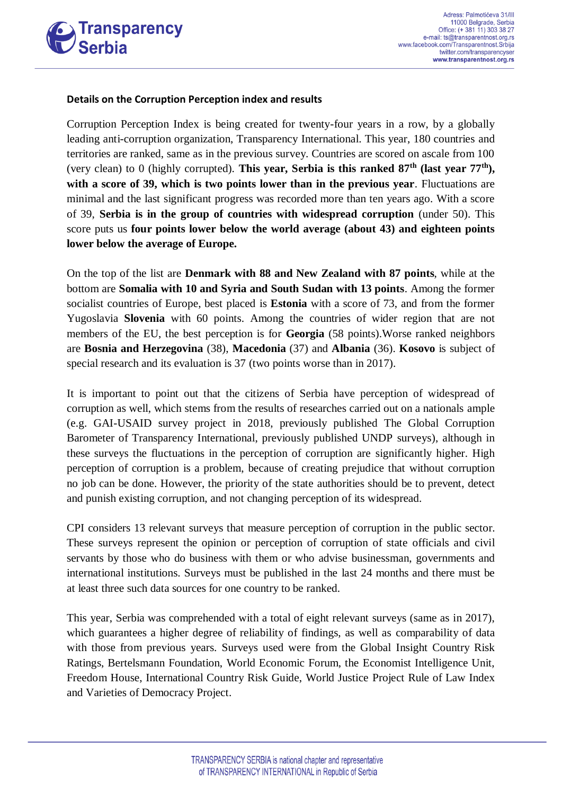

## **Details on the Corruption Perception index and results**

Corruption Perception Index is being created for twenty-four years in a row, by a globally leading anti-corruption organization, Transparency International. This year, 180 countries and territories are ranked, same as in the previous survey. Countries are scored on ascale from 100 (very clean) to 0 (highly corrupted). **This year, Serbia is this ranked 87th (last year 77th), with a score of 39, which is two points lower than in the previous year**. Fluctuations are minimal and the last significant progress was recorded more than ten years ago. With a score of 39, **Serbia is in the group of countries with widespread corruption** (under 50). This score puts us **four points lower below the world average (about 43) and eighteen points lower below the average of Europe.**

On the top of the list are **Denmark with 88 and New Zealand with 87 points**, while at the bottom are **Somalia with 10 and Syria and South Sudan with 13 points**. Among the former socialist countries of Europe, best placed is **Estonia** with a score of 73, and from the former Yugoslavia **Slovenia** with 60 points. Among the countries of wider region that are not members of the EU, the best perception is for **Georgia** (58 points).Worse ranked neighbors are **Bosnia and Herzegovina** (38), **Macedonia** (37) and **Albania** (36). **Kosovo** is subject of special research and its evaluation is 37 (two points worse than in 2017).

It is important to point out that the citizens of Serbia have perception of widespread of corruption as well, which stems from the results of researches carried out on a nationals ample (e.g. GAI-USAID survey project in 2018, previously published The Global Corruption Barometer of Transparency International, previously published UNDP surveys), although in these surveys the fluctuations in the perception of corruption are significantly higher. High perception of corruption is a problem, because of creating prejudice that without corruption no job can be done. However, the priority of the state authorities should be to prevent, detect and punish existing corruption, and not changing perception of its widespread.

CPI considers 13 relevant surveys that measure perception of corruption in the public sector. These surveys represent the opinion or perception of corruption of state officials and civil servants by those who do business with them or who advise businessman, governments and international institutions. Surveys must be published in the last 24 months and there must be at least three such data sources for one country to be ranked.

This year, Serbia was comprehended with a total of eight relevant surveys (same as in 2017), which guarantees a higher degree of reliability of findings, as well as comparability of data with those from previous years. Surveys used were from the Global Insight Country Risk Ratings, Bertelsmann Foundation, World Economic Forum, the Economist Intelligence Unit, Freedom House, International Country Risk Guide, World Justice Project Rule of Law Index and Varieties of Democracy Project.